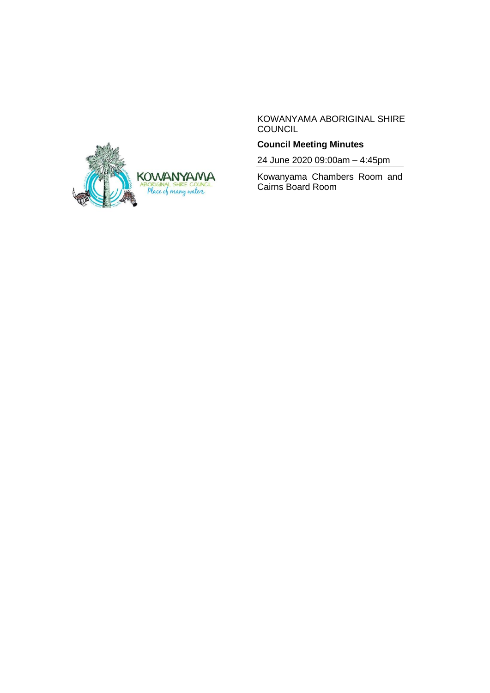

KOWANYAMA ABORIGINAL SHIRE COUNCIL

# **Council Meeting Minutes**

24 June 2020 09:00am – 4:45pm

Kowanyama Chambers Room and Cairns Board Room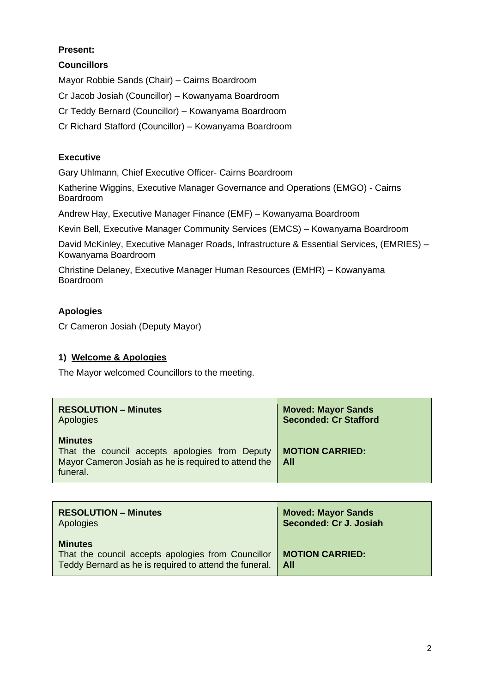# **Present:**

## **Councillors**

Mayor Robbie Sands (Chair) – Cairns Boardroom

Cr Jacob Josiah (Councillor) – Kowanyama Boardroom

Cr Teddy Bernard (Councillor) – Kowanyama Boardroom

Cr Richard Stafford (Councillor) – Kowanyama Boardroom

## **Executive**

Gary Uhlmann, Chief Executive Officer- Cairns Boardroom

Katherine Wiggins, Executive Manager Governance and Operations (EMGO) - Cairns Boardroom

Andrew Hay, Executive Manager Finance (EMF) – Kowanyama Boardroom

Kevin Bell, Executive Manager Community Services (EMCS) – Kowanyama Boardroom

David McKinley, Executive Manager Roads, Infrastructure & Essential Services, (EMRIES) – Kowanyama Boardroom

Christine Delaney, Executive Manager Human Resources (EMHR) – Kowanyama Boardroom

# **Apologies**

Cr Cameron Josiah (Deputy Mayor)

## **1) Welcome & Apologies**

The Mayor welcomed Councillors to the meeting.

| <b>RESOLUTION - Minutes</b>                                                                                                          | <b>Moved: Mayor Sands</b>       |
|--------------------------------------------------------------------------------------------------------------------------------------|---------------------------------|
| Apologies                                                                                                                            | <b>Seconded: Cr Stafford</b>    |
| <b>Minutes</b><br>That the council accepts apologies from Deputy<br>Mayor Cameron Josiah as he is required to attend the<br>funeral. | <b>MOTION CARRIED:</b><br>- All |

| <b>RESOLUTION - Minutes</b>                                                                                                    | <b>Moved: Mayor Sands</b>       |
|--------------------------------------------------------------------------------------------------------------------------------|---------------------------------|
| Apologies                                                                                                                      | Seconded: Cr J. Josiah          |
| <b>Minutes</b><br>That the council accepts apologies from Councillor<br>Teddy Bernard as he is required to attend the funeral. | <b>MOTION CARRIED:</b><br>- All |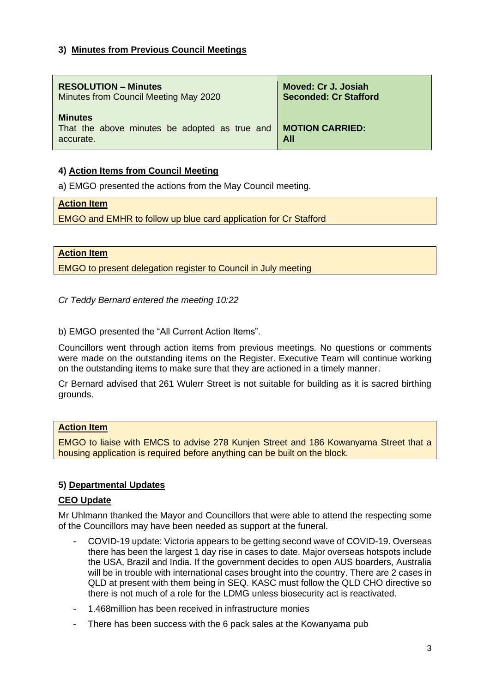## **3) Minutes from Previous Council Meetings**

| <b>RESOLUTION – Minutes</b>                                                  | Moved: Cr J. Josiah           |
|------------------------------------------------------------------------------|-------------------------------|
| Minutes from Council Meeting May 2020                                        | <b>Seconded: Cr Stafford</b>  |
| <b>Minutes</b><br>That the above minutes be adopted as true and<br>accurate. | <b>MOTION CARRIED:</b><br>All |

# **4) Action Items from Council Meeting**

a) EMGO presented the actions from the May Council meeting.

### **Action Item**

EMGO and EMHR to follow up blue card application for Cr Stafford

**Action Item**

EMGO to present delegation register to Council in July meeting

*Cr Teddy Bernard entered the meeting 10:22*

b) EMGO presented the "All Current Action Items".

Councillors went through action items from previous meetings. No questions or comments were made on the outstanding items on the Register. Executive Team will continue working on the outstanding items to make sure that they are actioned in a timely manner.

Cr Bernard advised that 261 Wulerr Street is not suitable for building as it is sacred birthing grounds.

### **Action Item**

EMGO to liaise with EMCS to advise 278 Kunjen Street and 186 Kowanyama Street that a housing application is required before anything can be built on the block.

## **5) Departmental Updates**

## **CEO Update**

Mr Uhlmann thanked the Mayor and Councillors that were able to attend the respecting some of the Councillors may have been needed as support at the funeral.

- COVID-19 update: Victoria appears to be getting second wave of COVID-19. Overseas there has been the largest 1 day rise in cases to date. Major overseas hotspots include the USA, Brazil and India. If the government decides to open AUS boarders, Australia will be in trouble with international cases brought into the country. There are 2 cases in QLD at present with them being in SEQ. KASC must follow the QLD CHO directive so there is not much of a role for the LDMG unless biosecurity act is reactivated.
- 1.468million has been received in infrastructure monies
- There has been success with the 6 pack sales at the Kowanyama pub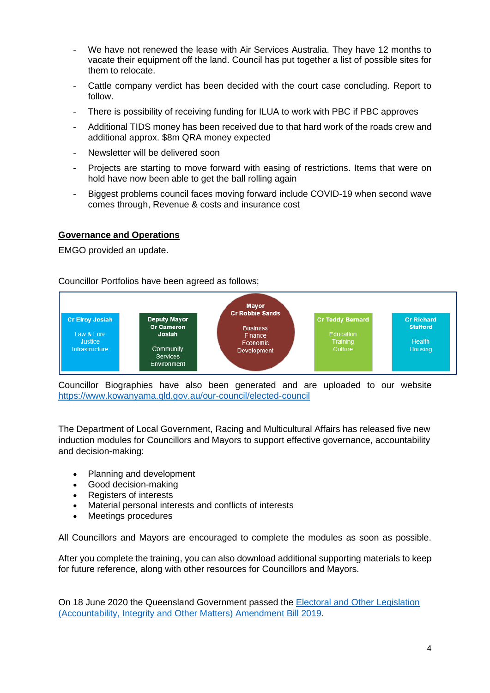- We have not renewed the lease with Air Services Australia. They have 12 months to vacate their equipment off the land. Council has put together a list of possible sites for them to relocate.
- Cattle company verdict has been decided with the court case concluding. Report to follow.
- There is possibility of receiving funding for ILUA to work with PBC if PBC approves
- Additional TIDS money has been received due to that hard work of the roads crew and additional approx. \$8m QRA money expected
- Newsletter will be delivered soon
- Projects are starting to move forward with easing of restrictions. Items that were on hold have now been able to get the ball rolling again
- Biggest problems council faces moving forward include COVID-19 when second wave comes through, Revenue & costs and insurance cost

### **Governance and Operations**

EMGO provided an update.

Councillor Portfolios have been agreed as follows;



Councillor Biographies have also been generated and are uploaded to our website <https://www.kowanyama.qld.gov.au/our-council/elected-council>

The Department of Local Government, Racing and Multicultural Affairs has released five new induction modules for Councillors and Mayors to support effective governance, accountability and decision-making:

- Planning and development
- Good decision-making
- Registers of interests
- Material personal interests and conflicts of interests
- Meetings procedures

All Councillors and Mayors are encouraged to complete the modules as soon as possible.

After you complete the training, you can also download additional supporting materials to keep for future reference, along with other resources for Councillors and Mayors.

On 18 June 2020 the Queensland Government passed the [Electoral and Other Legislation](https://www.vision6.com.au/ch/49133/1w8fd/2487107/zV.s8VbJQ.EgaOD1aekSahgYnt_q.hlLuZt2MOCo.html)  [\(Accountability, Integrity and Other Matters\) Amendment Bill 2019.](https://www.vision6.com.au/ch/49133/1w8fd/2487107/zV.s8VbJQ.EgaOD1aekSahgYnt_q.hlLuZt2MOCo.html)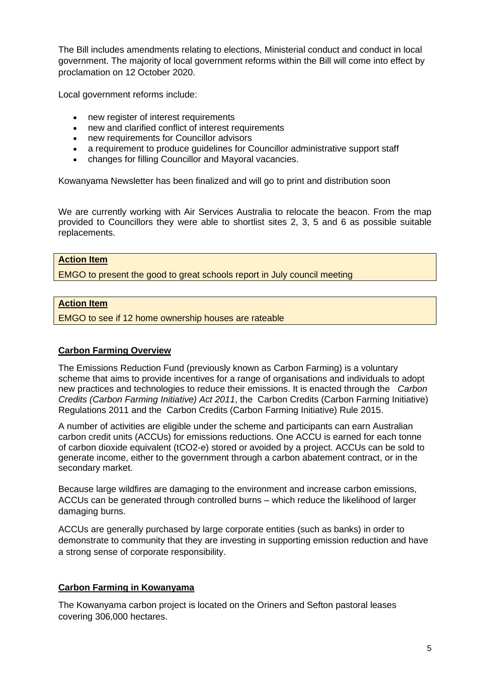The Bill includes amendments relating to elections, Ministerial conduct and conduct in local government. The majority of local government reforms within the Bill will come into effect by proclamation on 12 October 2020.

Local government reforms include:

- new register of interest requirements
- new and clarified conflict of interest requirements
- new requirements for Councillor advisors
- a requirement to produce quidelines for Councillor administrative support staff
- changes for filling Councillor and Mayoral vacancies.

Kowanyama Newsletter has been finalized and will go to print and distribution soon

We are currently working with Air Services Australia to relocate the beacon. From the map provided to Councillors they were able to shortlist sites 2, 3, 5 and 6 as possible suitable replacements.

#### **Action Item**

EMGO to present the good to great schools report in July council meeting

#### **Action Item**

EMGO to see if 12 home ownership houses are rateable

#### **Carbon Farming Overview**

The Emissions Reduction Fund (previously known as Carbon Farming) is a voluntary scheme that aims to provide incentives for a range of organisations and individuals to adopt new practices and technologies to reduce their emissions. It is enacted through the *[Carbon](http://www.comlaw.gov.au/Series/C2011A00101)  [Credits \(Carbon Farming Initiative\) Act 2011](http://www.comlaw.gov.au/Series/C2011A00101)*, the [Carbon Credits \(Carbon Farming Initiative\)](http://www.comlaw.gov.au/Series/F2011L02583)  [Regulations 2011](http://www.comlaw.gov.au/Series/F2011L02583) and the [Carbon Credits \(Carbon Farming Initiative\) Rule 2015.](http://www.comlaw.gov.au/Series/F2015L00156)

A number of activities are eligible under the scheme and participants can earn Australian carbon credit units (ACCUs) for emissions reductions. One ACCU is earned for each tonne of carbon dioxide equivalent (tCO2-e) stored or avoided by a project. ACCUs can be sold to generate income, either to the government through a carbon abatement contract, or in the secondary market.

Because large wildfires are damaging to the environment and increase carbon emissions, ACCUs can be generated through controlled burns – which reduce the likelihood of larger damaging burns.

ACCUs are generally purchased by large corporate entities (such as banks) in order to demonstrate to community that they are investing in supporting emission reduction and have a strong sense of corporate responsibility.

### **Carbon Farming in Kowanyama**

The Kowanyama carbon project is located on the Oriners and Sefton pastoral leases covering 306,000 hectares.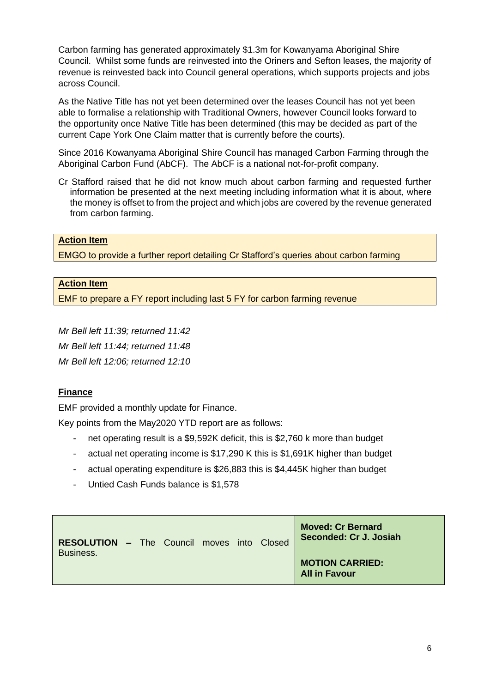Carbon farming has generated approximately \$1.3m for Kowanyama Aboriginal Shire Council. Whilst some funds are reinvested into the Oriners and Sefton leases, the majority of revenue is reinvested back into Council general operations, which supports projects and jobs across Council.

As the Native Title has not yet been determined over the leases Council has not yet been able to formalise a relationship with Traditional Owners, however Council looks forward to the opportunity once Native Title has been determined (this may be decided as part of the current Cape York One Claim matter that is currently before the courts).

Since 2016 Kowanyama Aboriginal Shire Council has managed Carbon Farming through the Aboriginal Carbon Fund (AbCF). The AbCF is a national not-for-profit company.

Cr Stafford raised that he did not know much about carbon farming and requested further information be presented at the next meeting including information what it is about, where the money is offset to from the project and which jobs are covered by the revenue generated from carbon farming.

## **Action Item**

EMGO to provide a further report detailing Cr Stafford's queries about carbon farming

## **Action Item**

EMF to prepare a FY report including last 5 FY for carbon farming revenue

*Mr Bell left 11:39; returned 11:42*

*Mr Bell left 11:44; returned 11:48*

*Mr Bell left 12:06; returned 12:10*

## **Finance**

EMF provided a monthly update for Finance.

Key points from the May2020 YTD report are as follows:

- net operating result is a \$9,592K deficit, this is \$2,760 k more than budget
- actual net operating income is \$17,290 K this is \$1,691K higher than budget
- actual operating expenditure is \$26,883 this is \$4,445K higher than budget
- Untied Cash Funds balance is \$1,578

| <b>RESOLUTION - The Council moves into Closed</b> |  |  |  | <b>Moved: Cr Bernard</b><br>Seconded: Cr J. Josiah |
|---------------------------------------------------|--|--|--|----------------------------------------------------|
| Business.                                         |  |  |  | <b>MOTION CARRIED:</b><br><b>All in Favour</b>     |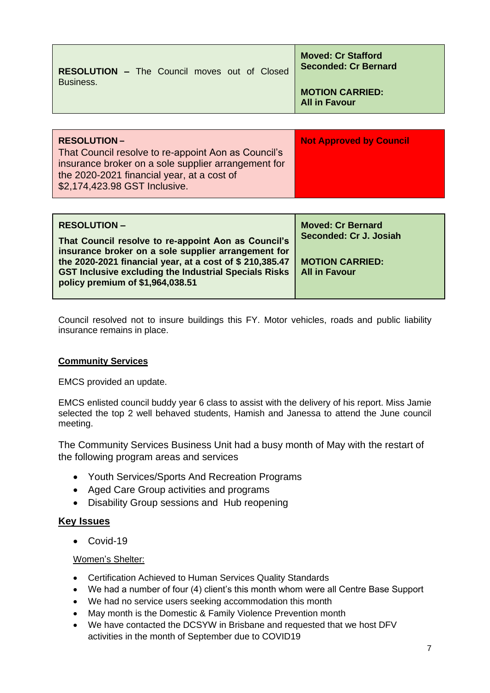| <b>RESOLUTION-</b>                                  | <b>Not Approved by Council</b>                           |
|-----------------------------------------------------|----------------------------------------------------------|
|                                                     |                                                          |
| Business.                                           | <b>MOTION CARRIED:</b><br><b>All in Favour</b>           |
| <b>RESOLUTION - The Council moves out of Closed</b> | <b>Moved: Cr Stafford</b><br><b>Seconded: Cr Bernard</b> |

| That Council resolve to re-appoint Aon as Council's |  |
|-----------------------------------------------------|--|
| insurance broker on a sole supplier arrangement for |  |
| the 2020-2021 financial year, at a cost of          |  |
| \$2,174,423.98 GST Inclusive.                       |  |
|                                                     |  |

| <b>RESOLUTION –</b><br>That Council resolve to re-appoint Aon as Council's<br>insurance broker on a sole supplier arrangement for<br>the 2020-2021 financial year, at a cost of \$ 210,385.47<br><b>GST Inclusive excluding the Industrial Specials Risks</b><br>policy premium of \$1,964,038.51 | <b>Moved: Cr Bernard</b><br>Seconded: Cr J. Josiah<br><b>MOTION CARRIED:</b><br><b>All in Favour</b> |
|---------------------------------------------------------------------------------------------------------------------------------------------------------------------------------------------------------------------------------------------------------------------------------------------------|------------------------------------------------------------------------------------------------------|
|---------------------------------------------------------------------------------------------------------------------------------------------------------------------------------------------------------------------------------------------------------------------------------------------------|------------------------------------------------------------------------------------------------------|

Council resolved not to insure buildings this FY. Motor vehicles, roads and public liability insurance remains in place.

## **Community Services**

EMCS provided an update.

EMCS enlisted council buddy year 6 class to assist with the delivery of his report. Miss Jamie selected the top 2 well behaved students, Hamish and Janessa to attend the June council meeting.

The Community Services Business Unit had a busy month of May with the restart of the following program areas and services

- Youth Services/Sports And Recreation Programs
- Aged Care Group activities and programs
- Disability Group sessions and Hub reopening

### **Key Issues**

• Covid-19

Women's Shelter:

- Certification Achieved to Human Services Quality Standards
- We had a number of four (4) client's this month whom were all Centre Base Support
- We had no service users seeking accommodation this month
- May month is the Domestic & Family Violence Prevention month
- We have contacted the DCSYW in Brisbane and requested that we host DFV activities in the month of September due to COVID19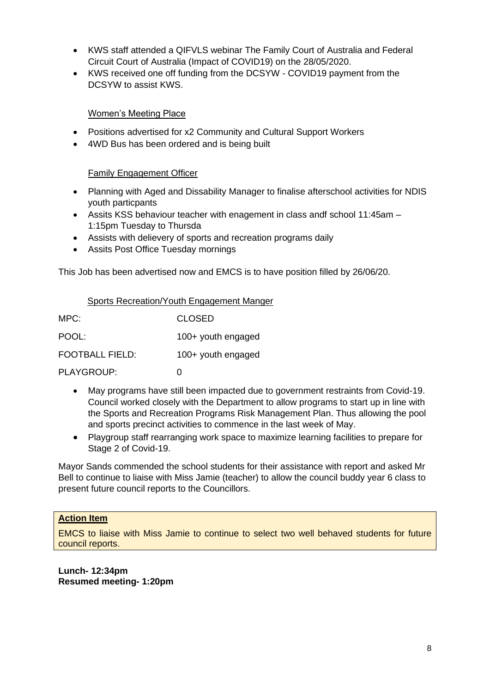- KWS staff attended a QIFVLS webinar The Family Court of Australia and Federal Circuit Court of Australia (Impact of COVID19) on the 28/05/2020.
- KWS received one off funding from the DCSYW COVID19 payment from the DCSYW to assist KWS.

### Women's Meeting Place

- Positions advertised for x2 Community and Cultural Support Workers
- 4WD Bus has been ordered and is being built

### Family Engagement Officer

- Planning with Aged and Dissability Manager to finalise afterschool activities for NDIS youth particpants
- Assits KSS behaviour teacher with enagement in class andf school 11:45am 1:15pm Tuesday to Thursda
- Assists with delievery of sports and recreation programs daily
- Assits Post Office Tuesday mornings

This Job has been advertised now and EMCS is to have position filled by 26/06/20.

| Sports Recreation/Youth Engagement Manger |
|-------------------------------------------|
|-------------------------------------------|

| MPC:                   | <b>CLOSED</b>      |
|------------------------|--------------------|
| POOL:                  | 100+ youth engaged |
| <b>FOOTBALL FIELD:</b> | 100+ youth engaged |
| PLAYGROUP:             | O                  |

- May programs have still been impacted due to government restraints from Covid-19. Council worked closely with the Department to allow programs to start up in line with the Sports and Recreation Programs Risk Management Plan. Thus allowing the pool and sports precinct activities to commence in the last week of May.
- Playgroup staff rearranging work space to maximize learning facilities to prepare for Stage 2 of Covid-19.

Mayor Sands commended the school students for their assistance with report and asked Mr Bell to continue to liaise with Miss Jamie (teacher) to allow the council buddy year 6 class to present future council reports to the Councillors.

## **Action Item**

EMCS to liaise with Miss Jamie to continue to select two well behaved students for future council reports.

**Lunch- 12:34pm Resumed meeting- 1:20pm**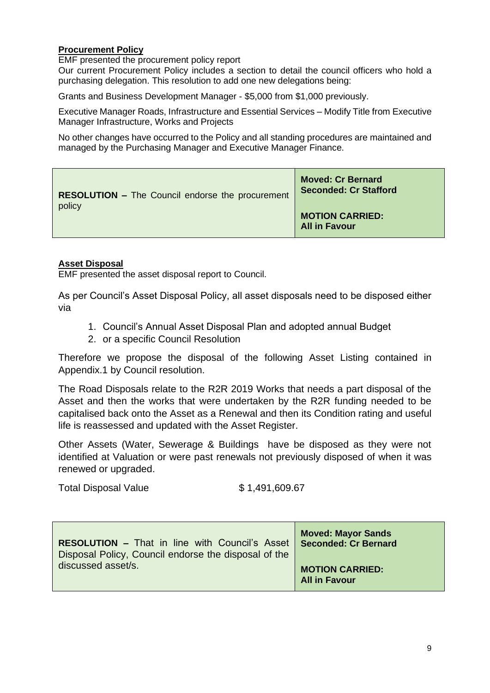## **Procurement Policy**

EMF presented the procurement policy report

Our current Procurement Policy includes a section to detail the council officers who hold a purchasing delegation. This resolution to add one new delegations being:

Grants and Business Development Manager - \$5,000 from \$1,000 previously.

Executive Manager Roads, Infrastructure and Essential Services – Modify Title from Executive Manager Infrastructure, Works and Projects

No other changes have occurred to the Policy and all standing procedures are maintained and managed by the Purchasing Manager and Executive Manager Finance.

| <b>RESOLUTION - The Council endorse the procurement</b> | <b>Moved: Cr Bernard</b><br><b>Seconded: Cr Stafford</b> |
|---------------------------------------------------------|----------------------------------------------------------|
| policy                                                  | <b>MOTION CARRIED:</b><br><b>All in Favour</b>           |

## **Asset Disposal**

EMF presented the asset disposal report to Council.

As per Council's Asset Disposal Policy, all asset disposals need to be disposed either via

- 1. Council's Annual Asset Disposal Plan and adopted annual Budget
- 2. or a specific Council Resolution

Therefore we propose the disposal of the following Asset Listing contained in Appendix.1 by Council resolution.

The Road Disposals relate to the R2R 2019 Works that needs a part disposal of the Asset and then the works that were undertaken by the R2R funding needed to be capitalised back onto the Asset as a Renewal and then its Condition rating and useful life is reassessed and updated with the Asset Register.

Other Assets (Water, Sewerage & Buildings have be disposed as they were not identified at Valuation or were past renewals not previously disposed of when it was renewed or upgraded.

Total Disposal Value \$ 1,491,609.67

| <b>RESOLUTION - That in line with Council's Asset   Seconded: Cr Bernard</b><br>Disposal Policy, Council endorse the disposal of the | <b>Moved: Mayor Sands</b>                      |
|--------------------------------------------------------------------------------------------------------------------------------------|------------------------------------------------|
| discussed asset/s.                                                                                                                   | <b>MOTION CARRIED:</b><br><b>All in Favour</b> |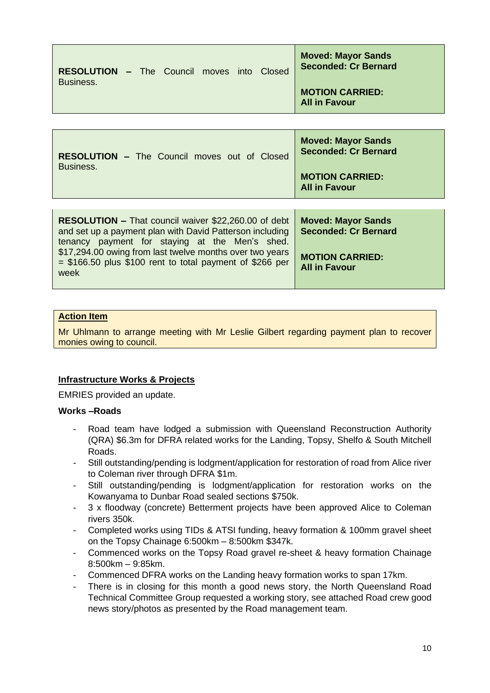| <b>RESOLUTION - The Council moves into Closed</b> |  |  |  | <b>Moved: Mayor Sands</b><br><b>Seconded: Cr Bernard</b> |
|---------------------------------------------------|--|--|--|----------------------------------------------------------|
| Business.                                         |  |  |  | <b>MOTION CARRIED:</b><br><b>All in Favour</b>           |

| <b>RESOLUTION - The Council moves out of Closed</b><br>Business.                                                                                                          | <b>Moved: Mayor Sands</b><br><b>Seconded: Cr Bernard</b><br><b>MOTION CARRIED:</b><br><b>All in Favour</b> |
|---------------------------------------------------------------------------------------------------------------------------------------------------------------------------|------------------------------------------------------------------------------------------------------------|
|                                                                                                                                                                           |                                                                                                            |
| <b>RESOLUTION – That council waiver \$22,260.00 of debt</b><br>and set up a payment plan with David Patterson including<br>tenancy payment for staying at the Men's shed. | <b>Moved: Mayor Sands</b><br><b>Seconded: Cr Bernard</b>                                                   |
| \$17,294.00 owing from last twelve months over two years                                                                                                                  |                                                                                                            |

## **Action Item**

Mr Uhlmann to arrange meeting with Mr Leslie Gilbert regarding payment plan to recover monies owing to council.

### **Infrastructure Works & Projects**

EMRIES provided an update.

### **Works –Roads**

- Road team have lodged a submission with Queensland Reconstruction Authority (QRA) \$6.3m for DFRA related works for the Landing, Topsy, Shelfo & South Mitchell Roads.
- Still outstanding/pending is lodgment/application for restoration of road from Alice river to Coleman river through DFRA \$1m.
- Still outstanding/pending is lodgment/application for restoration works on the Kowanyama to Dunbar Road sealed sections \$750k.
- 3 x floodway (concrete) Betterment projects have been approved Alice to Coleman rivers 350k.
- Completed works using TIDs & ATSI funding, heavy formation & 100mm gravel sheet on the Topsy Chainage 6:500km – 8:500km \$347k.
- Commenced works on the Topsy Road gravel re-sheet & heavy formation Chainage 8:500km – 9:85km.
- Commenced DFRA works on the Landing heavy formation works to span 17km.
- There is in closing for this month a good news story, the North Queensland Road Technical Committee Group requested a working story, see attached Road crew good news story/photos as presented by the Road management team.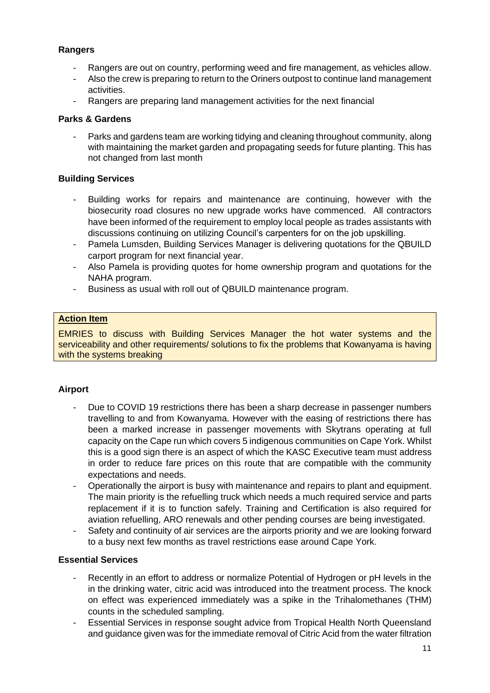# **Rangers**

- Rangers are out on country, performing weed and fire management, as vehicles allow.
- Also the crew is preparing to return to the Oriners outpost to continue land management activities.
- Rangers are preparing land management activities for the next financial

## **Parks & Gardens**

Parks and gardens team are working tidying and cleaning throughout community, along with maintaining the market garden and propagating seeds for future planting. This has not changed from last month

## **Building Services**

- Building works for repairs and maintenance are continuing, however with the biosecurity road closures no new upgrade works have commenced. All contractors have been informed of the requirement to employ local people as trades assistants with discussions continuing on utilizing Council's carpenters for on the job upskilling.
- Pamela Lumsden, Building Services Manager is delivering quotations for the QBUILD carport program for next financial year.
- Also Pamela is providing quotes for home ownership program and quotations for the NAHA program.
- Business as usual with roll out of QBUILD maintenance program.

### **Action Item**

EMRIES to discuss with Building Services Manager the hot water systems and the serviceability and other requirements/ solutions to fix the problems that Kowanyama is having with the systems breaking

## **Airport**

- Due to COVID 19 restrictions there has been a sharp decrease in passenger numbers travelling to and from Kowanyama. However with the easing of restrictions there has been a marked increase in passenger movements with Skytrans operating at full capacity on the Cape run which covers 5 indigenous communities on Cape York. Whilst this is a good sign there is an aspect of which the KASC Executive team must address in order to reduce fare prices on this route that are compatible with the community expectations and needs.
- Operationally the airport is busy with maintenance and repairs to plant and equipment. The main priority is the refuelling truck which needs a much required service and parts replacement if it is to function safely. Training and Certification is also required for aviation refuelling, ARO renewals and other pending courses are being investigated.
- Safety and continuity of air services are the airports priority and we are looking forward to a busy next few months as travel restrictions ease around Cape York.

## **Essential Services**

- Recently in an effort to address or normalize Potential of Hydrogen or pH levels in the in the drinking water, citric acid was introduced into the treatment process. The knock on effect was experienced immediately was a spike in the Trihalomethanes (THM) counts in the scheduled sampling.
- Essential Services in response sought advice from Tropical Health North Queensland and guidance given was for the immediate removal of Citric Acid from the water filtration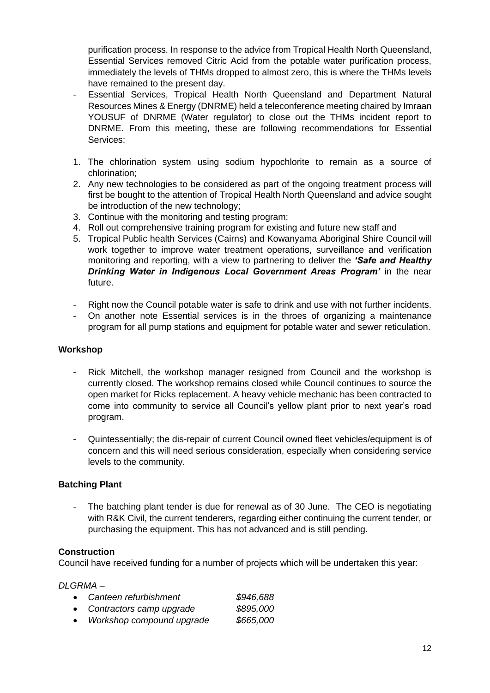purification process. In response to the advice from Tropical Health North Queensland, Essential Services removed Citric Acid from the potable water purification process, immediately the levels of THMs dropped to almost zero, this is where the THMs levels have remained to the present day.

- Essential Services, Tropical Health North Queensland and Department Natural Resources Mines & Energy (DNRME) held a teleconference meeting chaired by Imraan YOUSUF of DNRME (Water regulator) to close out the THMs incident report to DNRME. From this meeting, these are following recommendations for Essential Services:
- 1. The chlorination system using sodium hypochlorite to remain as a source of chlorination;
- 2. Any new technologies to be considered as part of the ongoing treatment process will first be bought to the attention of Tropical Health North Queensland and advice sought be introduction of the new technology;
- 3. Continue with the monitoring and testing program;
- 4. Roll out comprehensive training program for existing and future new staff and
- 5. Tropical Public health Services (Cairns) and Kowanyama Aboriginal Shire Council will work together to improve water treatment operations, surveillance and verification monitoring and reporting, with a view to partnering to deliver the *'Safe and Healthy Drinking Water in Indigenous Local Government Areas Program'* in the near future.
- Right now the Council potable water is safe to drink and use with not further incidents.
- On another note Essential services is in the throes of organizing a maintenance program for all pump stations and equipment for potable water and sewer reticulation.

### **Workshop**

- Rick Mitchell, the workshop manager resigned from Council and the workshop is currently closed. The workshop remains closed while Council continues to source the open market for Ricks replacement. A heavy vehicle mechanic has been contracted to come into community to service all Council's yellow plant prior to next year's road program.
- Quintessentially; the dis-repair of current Council owned fleet vehicles/equipment is of concern and this will need serious consideration, especially when considering service levels to the community.

## **Batching Plant**

The batching plant tender is due for renewal as of 30 June. The CEO is negotiating with R&K Civil, the current tenderers, regarding either continuing the current tender, or purchasing the equipment. This has not advanced and is still pending.

### **Construction**

Council have received funding for a number of projects which will be undertaken this year:

### *DLGRMA –*

- *Canteen refurbishment \$946,688*
- *Contractors camp upgrade \$895,000*
- *Workshop compound upgrade \$665,000*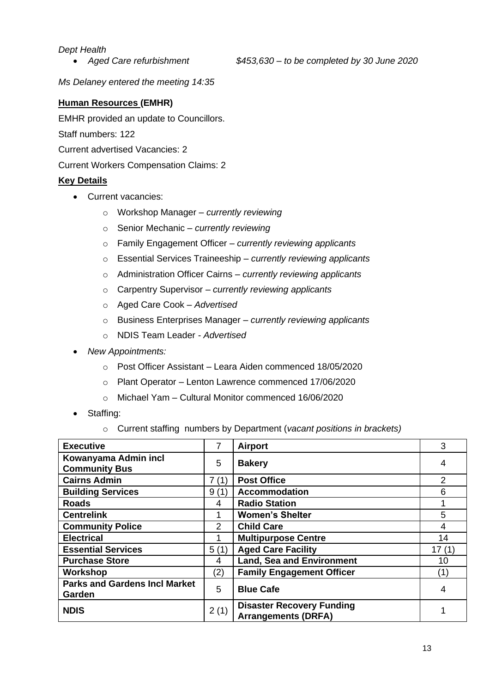### *Dept Health*

*Ms Delaney entered the meeting 14:35*

## **Human Resources (EMHR)**

EMHR provided an update to Councillors.

Staff numbers: 122

Current advertised Vacancies: 2

Current Workers Compensation Claims: 2

## **Key Details**

- Current vacancies:
	- o Workshop Manager *currently reviewing*
	- o Senior Mechanic *– currently reviewing*
	- o Family Engagement Officer *– currently reviewing applicants*
	- o Essential Services Traineeship *– currently reviewing applicants*
	- o Administration Officer Cairns *– currently reviewing applicants*
	- o Carpentry Supervisor *– currently reviewing applicants*
	- o Aged Care Cook *– Advertised*
	- o Business Enterprises Manager *– currently reviewing applicants*
	- o NDIS Team Leader *- Advertised*
- *New Appointments:*
	- o Post Officer Assistant Leara Aiden commenced 18/05/2020
	- o Plant Operator *–* Lenton Lawrence commenced 17/06/2020
	- o Michael Yam Cultural Monitor commenced 16/06/2020
- Staffing:
	- o Current staffing numbers by Department (*vacant positions in brackets)*

| <b>Executive</b>                               | 7             | <b>Airport</b>                                                 | 3              |
|------------------------------------------------|---------------|----------------------------------------------------------------|----------------|
| Kowanyama Admin incl<br><b>Community Bus</b>   | 5             | <b>Bakery</b>                                                  | 4              |
| <b>Cairns Admin</b>                            | 7(1)          | <b>Post Office</b>                                             | $\overline{2}$ |
| <b>Building Services</b>                       | 9(1)          | <b>Accommodation</b>                                           | 6              |
| <b>Roads</b>                                   | 4             | <b>Radio Station</b>                                           |                |
| <b>Centrelink</b>                              |               | <b>Women's Shelter</b>                                         | 5              |
| <b>Community Police</b>                        | $\mathcal{P}$ | <b>Child Care</b>                                              | 4              |
| <b>Electrical</b>                              |               | <b>Multipurpose Centre</b>                                     | 14             |
| <b>Essential Services</b>                      | 5(1)          | <b>Aged Care Facility</b>                                      | 17(1)          |
| <b>Purchase Store</b>                          | 4             | <b>Land, Sea and Environment</b>                               | 10             |
| Workshop                                       | (2)           | <b>Family Engagement Officer</b>                               | (1)            |
| <b>Parks and Gardens Incl Market</b><br>Garden | 5             | <b>Blue Cafe</b>                                               | 4              |
| <b>NDIS</b>                                    | 2(1)          | <b>Disaster Recovery Funding</b><br><b>Arrangements (DRFA)</b> |                |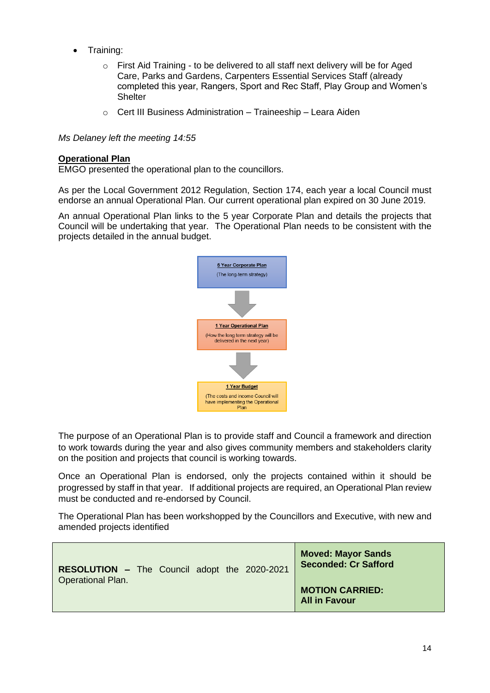- Training:
	- o First Aid Training to be delivered to all staff next delivery will be for Aged Care, Parks and Gardens, Carpenters Essential Services Staff (already completed this year, Rangers, Sport and Rec Staff, Play Group and Women's **Shelter**
	- o Cert III Business Administration Traineeship Leara Aiden

*Ms Delaney left the meeting 14:55*

#### **Operational Plan**

EMGO presented the operational plan to the councillors.

As per the Local Government 2012 Regulation, Section 174, each year a local Council must endorse an annual Operational Plan. Our current operational plan expired on 30 June 2019.

An annual Operational Plan links to the 5 year Corporate Plan and details the projects that Council will be undertaking that year. The Operational Plan needs to be consistent with the projects detailed in the annual budget.



The purpose of an Operational Plan is to provide staff and Council a framework and direction to work towards during the year and also gives community members and stakeholders clarity on the position and projects that council is working towards.

Once an Operational Plan is endorsed, only the projects contained within it should be progressed by staff in that year. If additional projects are required, an Operational Plan review must be conducted and re-endorsed by Council.

The Operational Plan has been workshopped by the Councillors and Executive, with new and amended projects identified

| RESOLUTION - The Council adopt the 2020-2021 |  |  | <b>Moved: Mayor Sands</b><br><b>Seconded: Cr Safford</b> |
|----------------------------------------------|--|--|----------------------------------------------------------|
| <b>Operational Plan.</b>                     |  |  | <b>MOTION CARRIED:</b><br><b>All in Favour</b>           |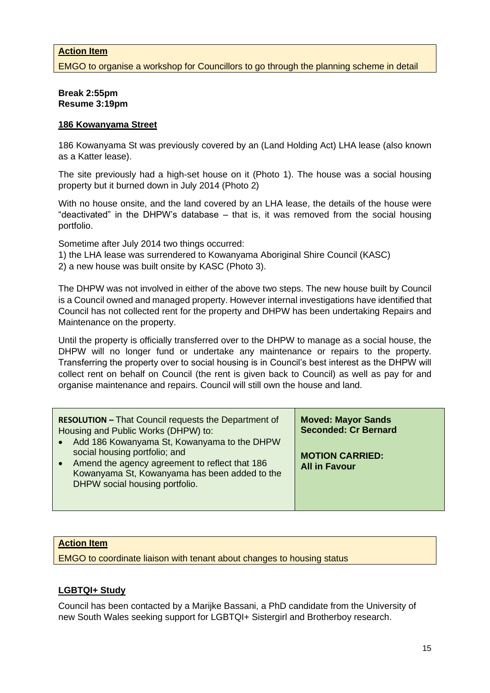### **Action Item**

EMGO to organise a workshop for Councillors to go through the planning scheme in detail

#### **Break 2:55pm Resume 3:19pm**

#### **186 Kowanyama Street**

186 Kowanyama St was previously covered by an (Land Holding Act) LHA lease (also known as a Katter lease).

The site previously had a high-set house on it (Photo 1). The house was a social housing property but it burned down in July 2014 (Photo 2)

With no house onsite, and the land covered by an LHA lease, the details of the house were "deactivated" in the DHPW's database – that is, it was removed from the social housing portfolio.

Sometime after July 2014 two things occurred:

1) the LHA lease was surrendered to Kowanyama Aboriginal Shire Council (KASC)

2) a new house was built onsite by KASC (Photo 3).

The DHPW was not involved in either of the above two steps. The new house built by Council is a Council owned and managed property. However internal investigations have identified that Council has not collected rent for the property and DHPW has been undertaking Repairs and Maintenance on the property.

Until the property is officially transferred over to the DHPW to manage as a social house, the DHPW will no longer fund or undertake any maintenance or repairs to the property. Transferring the property over to social housing is in Council's best interest as the DHPW will collect rent on behalf on Council (the rent is given back to Council) as well as pay for and organise maintenance and repairs. Council will still own the house and land.

| <b>RESOLUTION - That Council requests the Department of</b><br>Housing and Public Works (DHPW) to:<br>• Add 186 Kowanyama St, Kowanyama to the DHPW                  | <b>Moved: Mayor Sands</b><br><b>Seconded: Cr Bernard</b> |
|----------------------------------------------------------------------------------------------------------------------------------------------------------------------|----------------------------------------------------------|
| social housing portfolio; and<br>• Amend the agency agreement to reflect that 186<br>Kowanyama St, Kowanyama has been added to the<br>DHPW social housing portfolio. | <b>MOTION CARRIED:</b><br><b>All in Favour</b>           |

### **Action Item**

EMGO to coordinate liaison with tenant about changes to housing status

## **LGBTQI+ Study**

Council has been contacted by a Marijke Bassani, a PhD candidate from the University of new South Wales seeking support for LGBTQI+ Sistergirl and Brotherboy research.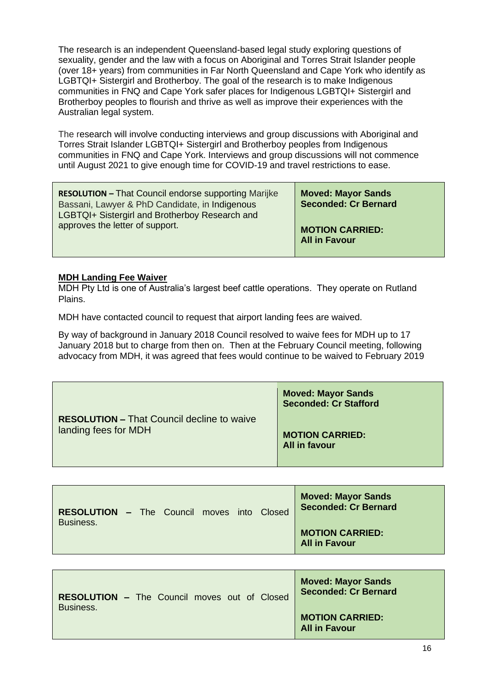The research is an independent Queensland-based legal study exploring questions of sexuality, gender and the law with a focus on Aboriginal and Torres Strait Islander people (over 18+ years) from communities in Far North Queensland and Cape York who identify as LGBTQI+ Sistergirl and Brotherboy. The goal of the research is to make Indigenous communities in FNQ and Cape York safer places for Indigenous LGBTQI+ Sistergirl and Brotherboy peoples to flourish and thrive as well as improve their experiences with the Australian legal system.

The research will involve conducting interviews and group discussions with Aboriginal and Torres Strait Islander LGBTQI+ Sistergirl and Brotherboy peoples from Indigenous communities in FNQ and Cape York. Interviews and group discussions will not commence until August 2021 to give enough time for COVID-19 and travel restrictions to ease.

| <b>RESOLUTION - That Council endorse supporting Marijke</b><br>Bassani, Lawyer & PhD Candidate, in Indigenous<br>LGBTQI+ Sistergirl and Brotherboy Research and | <b>Moved: Mayor Sands</b><br><b>Seconded: Cr Bernard</b> |
|-----------------------------------------------------------------------------------------------------------------------------------------------------------------|----------------------------------------------------------|
| approves the letter of support.                                                                                                                                 | <b>MOTION CARRIED:</b><br><b>All in Favour</b>           |

### **MDH Landing Fee Waiver**

MDH Pty Ltd is one of Australia's largest beef cattle operations. They operate on Rutland Plains.

MDH have contacted council to request that airport landing fees are waived.

By way of background in January 2018 Council resolved to waive fees for MDH up to 17 January 2018 but to charge from then on. Then at the February Council meeting, following advocacy from MDH, it was agreed that fees would continue to be waived to February 2019

|                                                   | <b>Moved: Mayor Sands</b><br><b>Seconded: Cr Stafford</b> |
|---------------------------------------------------|-----------------------------------------------------------|
| <b>RESOLUTION - That Council decline to waive</b> | <b>MOTION CARRIED:</b>                                    |
| landing fees for MDH                              | <b>All in favour</b>                                      |

| <b>RESOLUTION - The Council moves into Closed</b> |  |  |  | <b>Moved: Mayor Sands</b><br><b>Seconded: Cr Bernard</b> |
|---------------------------------------------------|--|--|--|----------------------------------------------------------|
| Business.                                         |  |  |  | <b>MOTION CARRIED:</b><br><b>All in Favour</b>           |

| <b>RESOLUTION - The Council moves out of Closed</b> | <b>Moved: Mayor Sands</b><br><b>Seconded: Cr Bernard</b> |
|-----------------------------------------------------|----------------------------------------------------------|
| Business.                                           | <b>MOTION CARRIED:</b><br><b>All in Favour</b>           |